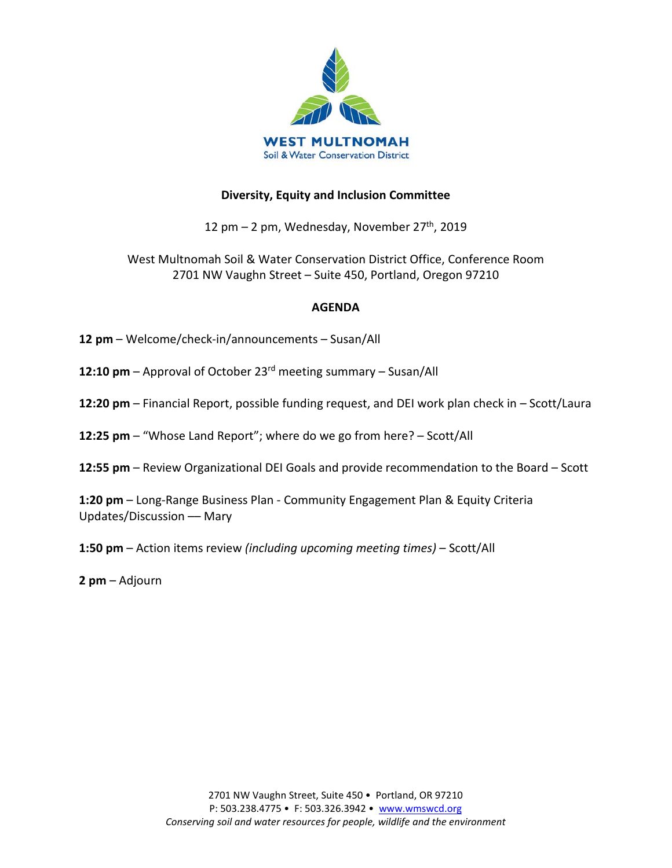

## **Diversity, Equity and Inclusion Committee**

12 pm – 2 pm, Wednesday, November  $27<sup>th</sup>$ , 2019

West Multnomah Soil & Water Conservation District Office, Conference Room 2701 NW Vaughn Street – Suite 450, Portland, Oregon 97210

## **AGENDA**

- **12 pm**  Welcome/check-in/announcements Susan/All
- **12:10 pm**  Approval of October 23rd meeting summary Susan/All
- **12:20 pm**  Financial Report, possible funding request, and DEI work plan check in Scott/Laura
- **12:25 pm**  "Whose Land Report"; where do we go from here? Scott/All
- **12:55 pm**  Review Organizational DEI Goals and provide recommendation to the Board Scott

**1:20 pm** – Long-Range Business Plan - Community Engagement Plan & Equity Criteria Updates/Discussion –– Mary

**1:50 pm** – Action items review *(including upcoming meeting times)* – Scott/All

**2 pm** – Adjourn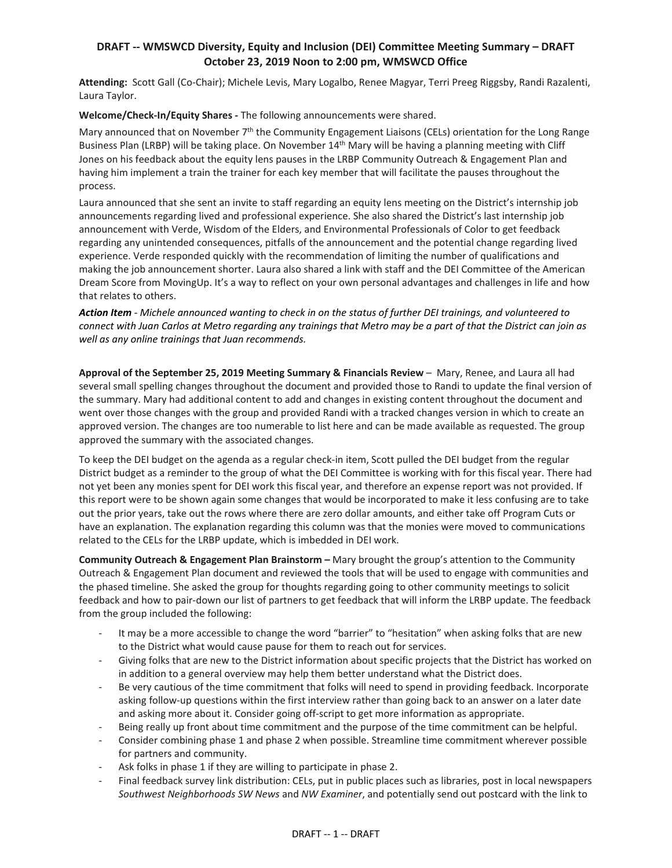## **DRAFT -- WMSWCD Diversity, Equity and Inclusion (DEI) Committee Meeting Summary – DRAFT October 23, 2019 Noon to 2:00 pm, WMSWCD Office**

**Attending:** Scott Gall (Co-Chair); Michele Levis, Mary Logalbo, Renee Magyar, Terri Preeg Riggsby, Randi Razalenti, Laura Taylor.

**Welcome/Check-In/Equity Shares -** The following announcements were shared.

Mary announced that on November 7<sup>th</sup> the Community Engagement Liaisons (CELs) orientation for the Long Range Business Plan (LRBP) will be taking place. On November 14th Mary will be having a planning meeting with Cliff Jones on his feedback about the equity lens pauses in the LRBP Community Outreach & Engagement Plan and having him implement a train the trainer for each key member that will facilitate the pauses throughout the process.

Laura announced that she sent an invite to staff regarding an equity lens meeting on the District's internship job announcements regarding lived and professional experience. She also shared the District's last internship job announcement with Verde, Wisdom of the Elders, and Environmental Professionals of Color to get feedback regarding any unintended consequences, pitfalls of the announcement and the potential change regarding lived experience. Verde responded quickly with the recommendation of limiting the number of qualifications and making the job announcement shorter. Laura also shared a link with staff and the DEI Committee of the American Dream Score from MovingUp. It's a way to reflect on your own personal advantages and challenges in life and how that relates to others.

*Action Item - Michele announced wanting to check in on the status of further DEI trainings, and volunteered to connect with Juan Carlos at Metro regarding any trainings that Metro may be a part of that the District can join as well as any online trainings that Juan recommends.* 

**Approval of the September 25, 2019 Meeting Summary & Financials Review** – Mary, Renee, and Laura all had several small spelling changes throughout the document and provided those to Randi to update the final version of the summary. Mary had additional content to add and changes in existing content throughout the document and went over those changes with the group and provided Randi with a tracked changes version in which to create an approved version. The changes are too numerable to list here and can be made available as requested. The group approved the summary with the associated changes.

To keep the DEI budget on the agenda as a regular check-in item, Scott pulled the DEI budget from the regular District budget as a reminder to the group of what the DEI Committee is working with for this fiscal year. There had not yet been any monies spent for DEI work this fiscal year, and therefore an expense report was not provided. If this report were to be shown again some changes that would be incorporated to make it less confusing are to take out the prior years, take out the rows where there are zero dollar amounts, and either take off Program Cuts or have an explanation. The explanation regarding this column was that the monies were moved to communications related to the CELs for the LRBP update, which is imbedded in DEI work.

**Community Outreach & Engagement Plan Brainstorm –** Mary brought the group's attention to the Community Outreach & Engagement Plan document and reviewed the tools that will be used to engage with communities and the phased timeline. She asked the group for thoughts regarding going to other community meetings to solicit feedback and how to pair-down our list of partners to get feedback that will inform the LRBP update. The feedback from the group included the following:

- It may be a more accessible to change the word "barrier" to "hesitation" when asking folks that are new to the District what would cause pause for them to reach out for services.
- Giving folks that are new to the District information about specific projects that the District has worked on in addition to a general overview may help them better understand what the District does.
- Be very cautious of the time commitment that folks will need to spend in providing feedback. Incorporate asking follow-up questions within the first interview rather than going back to an answer on a later date and asking more about it. Consider going off-script to get more information as appropriate.
- Being really up front about time commitment and the purpose of the time commitment can be helpful.
- Consider combining phase 1 and phase 2 when possible. Streamline time commitment wherever possible for partners and community.
- Ask folks in phase 1 if they are willing to participate in phase 2.
- Final feedback survey link distribution: CELs, put in public places such as libraries, post in local newspapers *Southwest Neighborhoods SW News* and *NW Examiner*, and potentially send out postcard with the link to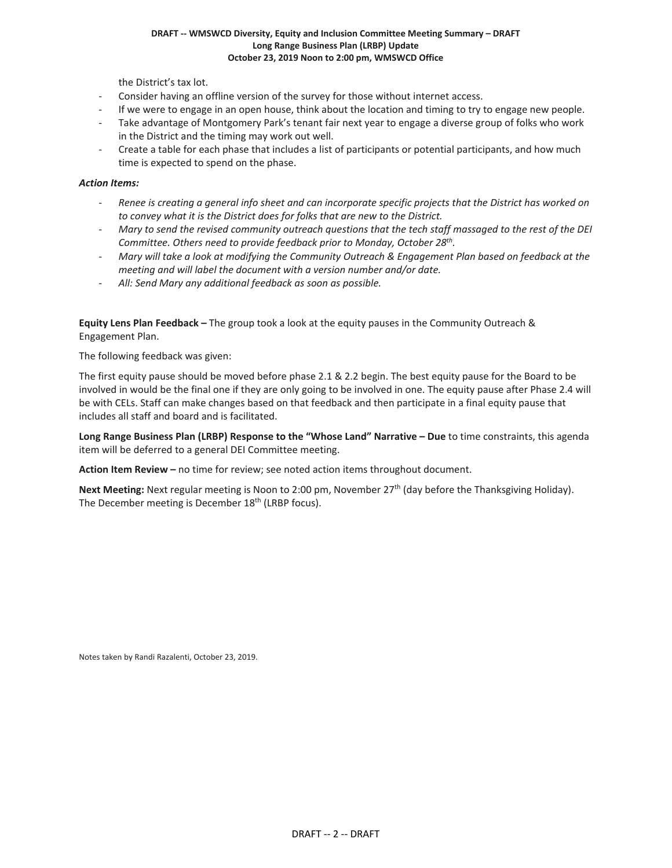#### **DRAFT -- WMSWCD Diversity, Equity and Inclusion Committee Meeting Summary – DRAFT Long Range Business Plan (LRBP) Update October 23, 2019 Noon to 2:00 pm, WMSWCD Office**

the District's tax lot.

- Consider having an offline version of the survey for those without internet access.
- If we were to engage in an open house, think about the location and timing to try to engage new people.
- Take advantage of Montgomery Park's tenant fair next year to engage a diverse group of folks who work in the District and the timing may work out well.
- Create a table for each phase that includes a list of participants or potential participants, and how much time is expected to spend on the phase.

#### *Action Items:*

- *Renee is creating a general info sheet and can incorporate specific projects that the District has worked on to convey what it is the District does for folks that are new to the District.*
- *Mary to send the revised community outreach questions that the tech staff massaged to the rest of the DEI Committee. Others need to provide feedback prior to Monday, October 28th.*
- *Mary will take a look at modifying the Community Outreach & Engagement Plan based on feedback at the meeting and will label the document with a version number and/or date.*
- *All: Send Mary any additional feedback as soon as possible.*

**Equity Lens Plan Feedback –** The group took a look at the equity pauses in the Community Outreach & Engagement Plan.

The following feedback was given:

The first equity pause should be moved before phase 2.1 & 2.2 begin. The best equity pause for the Board to be involved in would be the final one if they are only going to be involved in one. The equity pause after Phase 2.4 will be with CELs. Staff can make changes based on that feedback and then participate in a final equity pause that includes all staff and board and is facilitated.

**Long Range Business Plan (LRBP) Response to the "Whose Land" Narrative – Due** to time constraints, this agenda item will be deferred to a general DEI Committee meeting.

**Action Item Review –** no time for review; see noted action items throughout document.

**Next Meeting:** Next regular meeting is Noon to 2:00 pm, November 27th (day before the Thanksgiving Holiday). The December meeting is December 18<sup>th</sup> (LRBP focus).

Notes taken by Randi Razalenti, October 23, 2019.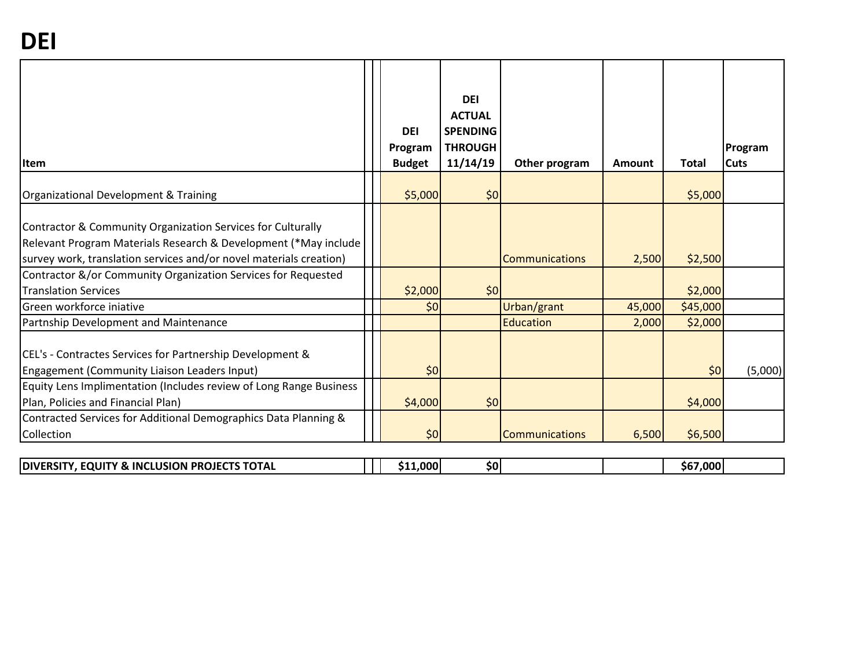| <b>I</b> tem                                                                                                                                                                                           | <b>DEI</b><br>Program<br><b>Budget</b> | <b>DEI</b><br><b>ACTUAL</b><br><b>SPENDING</b><br><b>THROUGH</b><br>11/14/19 | Other program         | Amount | <b>Total</b> | Program<br><b>Cuts</b> |
|--------------------------------------------------------------------------------------------------------------------------------------------------------------------------------------------------------|----------------------------------------|------------------------------------------------------------------------------|-----------------------|--------|--------------|------------------------|
| Organizational Development & Training                                                                                                                                                                  | \$5,000                                | \$0                                                                          |                       |        | \$5,000      |                        |
| Contractor & Community Organization Services for Culturally<br>Relevant Program Materials Research & Development (*May include  <br>survey work, translation services and/or novel materials creation) |                                        |                                                                              | <b>Communications</b> | 2,500  | \$2,500      |                        |
| Contractor &/or Community Organization Services for Requested                                                                                                                                          |                                        |                                                                              |                       |        |              |                        |
| <b>Translation Services</b>                                                                                                                                                                            | \$2,000                                | \$0                                                                          |                       |        | \$2,000      |                        |
| Green workforce iniative                                                                                                                                                                               | \$0                                    |                                                                              | Urban/grant           | 45,000 | \$45,000     |                        |
| Partnship Development and Maintenance                                                                                                                                                                  |                                        |                                                                              | <b>Education</b>      | 2,000  | \$2,000      |                        |
| CEL's - Contractes Services for Partnership Development &<br>Engagement (Community Liaison Leaders Input)                                                                                              | \$0                                    |                                                                              |                       |        | \$0          | (5,000)                |
| Equity Lens Implimentation (Includes review of Long Range Business                                                                                                                                     |                                        |                                                                              |                       |        |              |                        |
| Plan, Policies and Financial Plan)                                                                                                                                                                     | \$4,000                                | \$0                                                                          |                       |        | \$4,000      |                        |
| Contracted Services for Additional Demographics Data Planning &                                                                                                                                        |                                        |                                                                              |                       |        |              |                        |
| Collection                                                                                                                                                                                             | \$0                                    |                                                                              | <b>Communications</b> | 6,500  | \$6,500      |                        |
| <b>DIVERSITY, EQUITY &amp; INCLUSION PROJECTS TOTAL</b>                                                                                                                                                | \$11,000                               | \$0                                                                          |                       |        | \$67,000     |                        |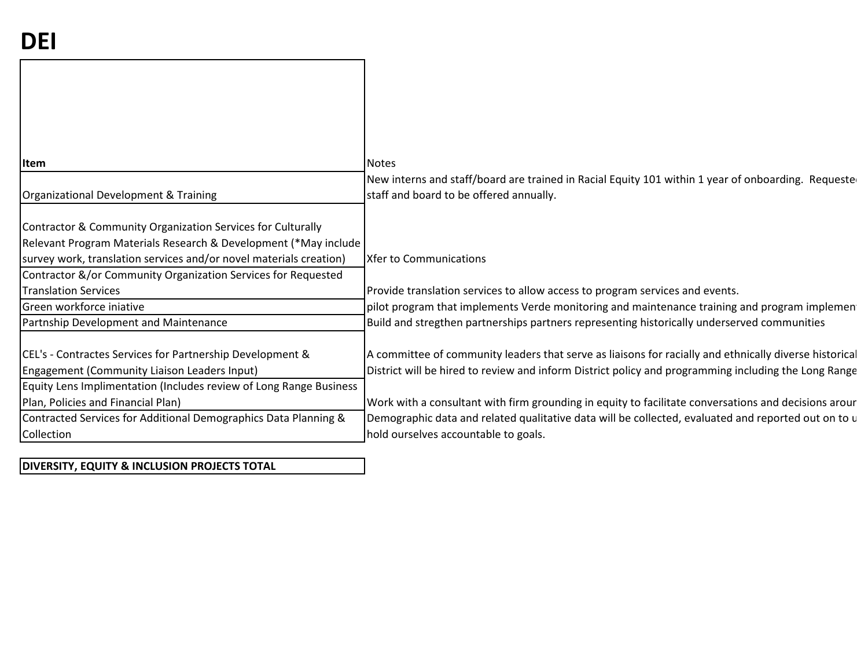| <b>Item</b>                                                        | <b>Notes</b>                                                                                           |
|--------------------------------------------------------------------|--------------------------------------------------------------------------------------------------------|
|                                                                    | New interns and staff/board are trained in Racial Equity 101 within 1 year of onboarding. Requester    |
| Organizational Development & Training                              | staff and board to be offered annually.                                                                |
|                                                                    |                                                                                                        |
| Contractor & Community Organization Services for Culturally        |                                                                                                        |
| Relevant Program Materials Research & Development (*May include    |                                                                                                        |
| survey work, translation services and/or novel materials creation) | <b>Xfer to Communications</b>                                                                          |
| Contractor &/or Community Organization Services for Requested      |                                                                                                        |
| <b>Translation Services</b>                                        | Provide translation services to allow access to program services and events.                           |
| Green workforce iniative                                           | pilot program that implements Verde monitoring and maintenance training and program implemen           |
| Partnship Development and Maintenance                              | Build and stregthen partnerships partners representing historically underserved communities            |
|                                                                    |                                                                                                        |
| CEL's - Contractes Services for Partnership Development &          | A committee of community leaders that serve as liaisons for racially and ethnically diverse historical |
| Engagement (Community Liaison Leaders Input)                       | District will be hired to review and inform District policy and programming including the Long Range   |
| Equity Lens Implimentation (Includes review of Long Range Business |                                                                                                        |
| Plan, Policies and Financial Plan)                                 | Work with a consultant with firm grounding in equity to facilitate conversations and decisions arour   |
| Contracted Services for Additional Demographics Data Planning &    | Demographic data and related qualitative data will be collected, evaluated and reported out on to u    |
| Collection                                                         | hold ourselves accountable to goals.                                                                   |
|                                                                    |                                                                                                        |

# **DIVERSITY, EQUITY & INCLUSION PROJECTS TOTAL**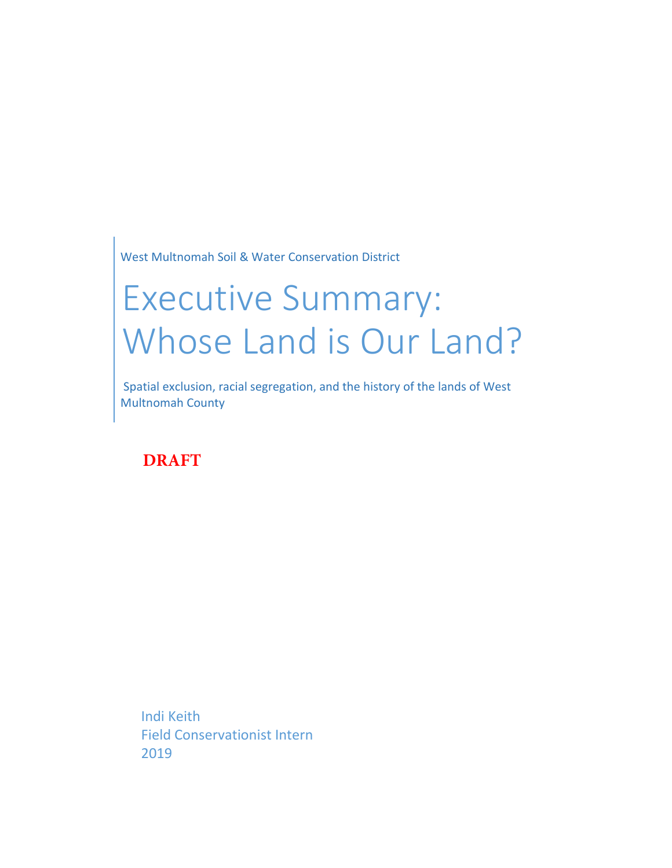West Multnomah Soil & Water Conservation District

# Executive Summary: Whose Land is Our Land?

Spatial exclusion, racial segregation, and the history of the lands of West Multnomah County

**DRAFT**

Indi Keith Field Conservationist Intern 2019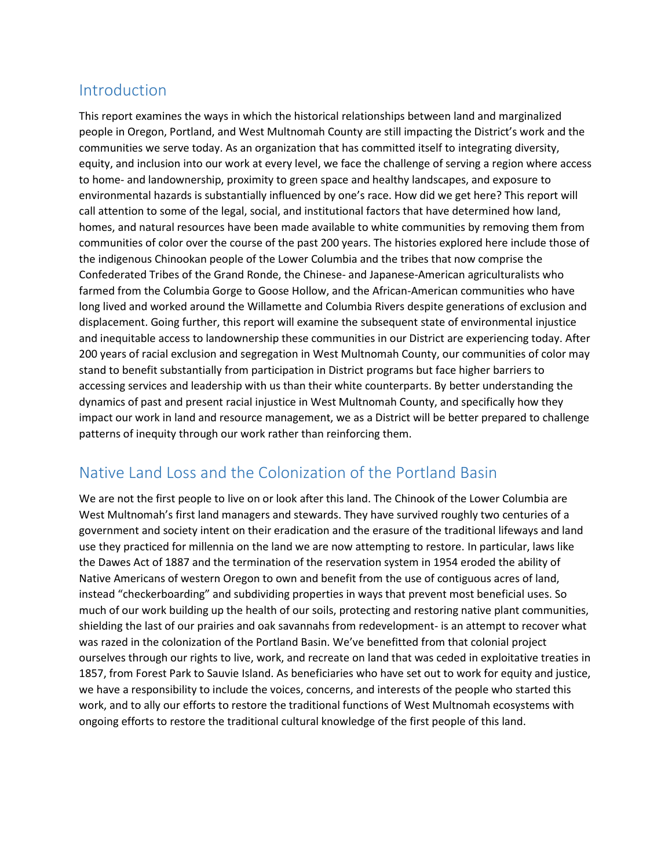# Introduction

This report examines the ways in which the historical relationships between land and marginalized people in Oregon, Portland, and West Multnomah County are still impacting the District's work and the communities we serve today. As an organization that has committed itself to integrating diversity, equity, and inclusion into our work at every level, we face the challenge of serving a region where access to home- and landownership, proximity to green space and healthy landscapes, and exposure to environmental hazards is substantially influenced by one's race. How did we get here? This report will call attention to some of the legal, social, and institutional factors that have determined how land, homes, and natural resources have been made available to white communities by removing them from communities of color over the course of the past 200 years. The histories explored here include those of the indigenous Chinookan people of the Lower Columbia and the tribes that now comprise the Confederated Tribes of the Grand Ronde, the Chinese- and Japanese-American agriculturalists who farmed from the Columbia Gorge to Goose Hollow, and the African-American communities who have long lived and worked around the Willamette and Columbia Rivers despite generations of exclusion and displacement. Going further, this report will examine the subsequent state of environmental injustice and inequitable access to landownership these communities in our District are experiencing today. After 200 years of racial exclusion and segregation in West Multnomah County, our communities of color may stand to benefit substantially from participation in District programs but face higher barriers to accessing services and leadership with us than their white counterparts. By better understanding the dynamics of past and present racial injustice in West Multnomah County, and specifically how they impact our work in land and resource management, we as a District will be better prepared to challenge patterns of inequity through our work rather than reinforcing them.

# Native Land Loss and the Colonization of the Portland Basin

We are not the first people to live on or look after this land. The Chinook of the Lower Columbia are West Multnomah's first land managers and stewards. They have survived roughly two centuries of a government and society intent on their eradication and the erasure of the traditional lifeways and land use they practiced for millennia on the land we are now attempting to restore. In particular, laws like the Dawes Act of 1887 and the termination of the reservation system in 1954 eroded the ability of Native Americans of western Oregon to own and benefit from the use of contiguous acres of land, instead "checkerboarding" and subdividing properties in ways that prevent most beneficial uses. So much of our work building up the health of our soils, protecting and restoring native plant communities, shielding the last of our prairies and oak savannahs from redevelopment- is an attempt to recover what was razed in the colonization of the Portland Basin. We've benefitted from that colonial project ourselves through our rights to live, work, and recreate on land that was ceded in exploitative treaties in 1857, from Forest Park to Sauvie Island. As beneficiaries who have set out to work for equity and justice, we have a responsibility to include the voices, concerns, and interests of the people who started this work, and to ally our efforts to restore the traditional functions of West Multnomah ecosystems with ongoing efforts to restore the traditional cultural knowledge of the first people of this land.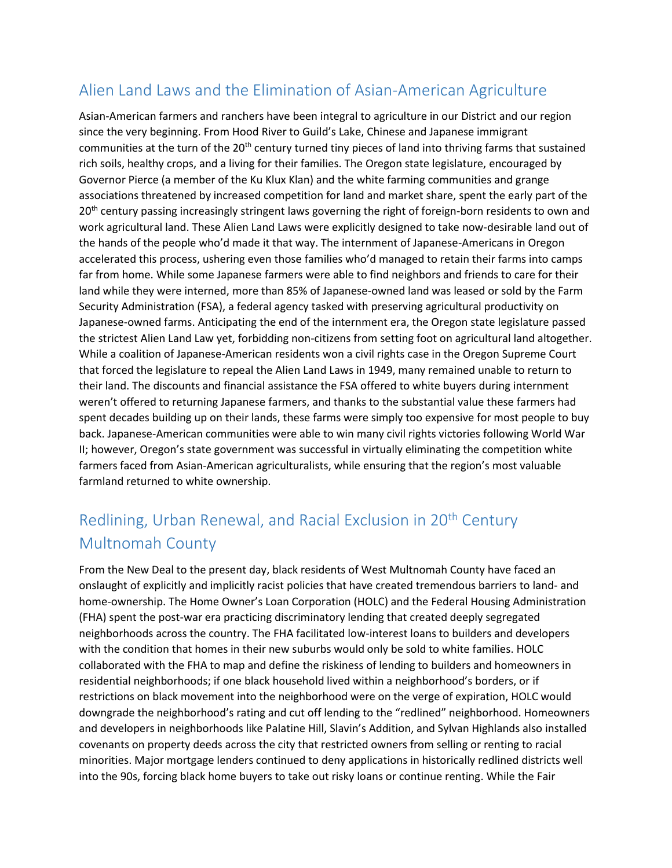# Alien Land Laws and the Elimination of Asian-American Agriculture

Asian-American farmers and ranchers have been integral to agriculture in our District and our region since the very beginning. From Hood River to Guild's Lake, Chinese and Japanese immigrant communities at the turn of the 20<sup>th</sup> century turned tiny pieces of land into thriving farms that sustained rich soils, healthy crops, and a living for their families. The Oregon state legislature, encouraged by Governor Pierce (a member of the Ku Klux Klan) and the white farming communities and grange associations threatened by increased competition for land and market share, spent the early part of the 20<sup>th</sup> century passing increasingly stringent laws governing the right of foreign-born residents to own and work agricultural land. These Alien Land Laws were explicitly designed to take now-desirable land out of the hands of the people who'd made it that way. The internment of Japanese-Americans in Oregon accelerated this process, ushering even those families who'd managed to retain their farms into camps far from home. While some Japanese farmers were able to find neighbors and friends to care for their land while they were interned, more than 85% of Japanese-owned land was leased or sold by the Farm Security Administration (FSA), a federal agency tasked with preserving agricultural productivity on Japanese-owned farms. Anticipating the end of the internment era, the Oregon state legislature passed the strictest Alien Land Law yet, forbidding non-citizens from setting foot on agricultural land altogether. While a coalition of Japanese-American residents won a civil rights case in the Oregon Supreme Court that forced the legislature to repeal the Alien Land Laws in 1949, many remained unable to return to their land. The discounts and financial assistance the FSA offered to white buyers during internment weren't offered to returning Japanese farmers, and thanks to the substantial value these farmers had spent decades building up on their lands, these farms were simply too expensive for most people to buy back. Japanese-American communities were able to win many civil rights victories following World War II; however, Oregon's state government was successful in virtually eliminating the competition white farmers faced from Asian-American agriculturalists, while ensuring that the region's most valuable farmland returned to white ownership.

# Redlining, Urban Renewal, and Racial Exclusion in 20<sup>th</sup> Century Multnomah County

From the New Deal to the present day, black residents of West Multnomah County have faced an onslaught of explicitly and implicitly racist policies that have created tremendous barriers to land- and home-ownership. The Home Owner's Loan Corporation (HOLC) and the Federal Housing Administration (FHA) spent the post-war era practicing discriminatory lending that created deeply segregated neighborhoods across the country. The FHA facilitated low-interest loans to builders and developers with the condition that homes in their new suburbs would only be sold to white families. HOLC collaborated with the FHA to map and define the riskiness of lending to builders and homeowners in residential neighborhoods; if one black household lived within a neighborhood's borders, or if restrictions on black movement into the neighborhood were on the verge of expiration, HOLC would downgrade the neighborhood's rating and cut off lending to the "redlined" neighborhood. Homeowners and developers in neighborhoods like Palatine Hill, Slavin's Addition, and Sylvan Highlands also installed covenants on property deeds across the city that restricted owners from selling or renting to racial minorities. Major mortgage lenders continued to deny applications in historically redlined districts well into the 90s, forcing black home buyers to take out risky loans or continue renting. While the Fair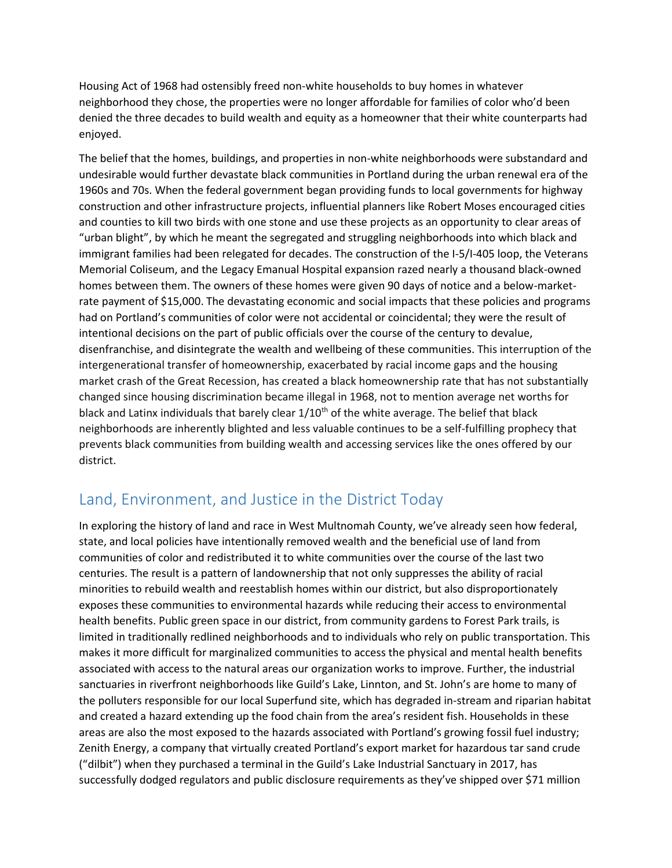Housing Act of 1968 had ostensibly freed non-white households to buy homes in whatever neighborhood they chose, the properties were no longer affordable for families of color who'd been denied the three decades to build wealth and equity as a homeowner that their white counterparts had enjoyed.

The belief that the homes, buildings, and properties in non-white neighborhoods were substandard and undesirable would further devastate black communities in Portland during the urban renewal era of the 1960s and 70s. When the federal government began providing funds to local governments for highway construction and other infrastructure projects, influential planners like Robert Moses encouraged cities and counties to kill two birds with one stone and use these projects as an opportunity to clear areas of "urban blight", by which he meant the segregated and struggling neighborhoods into which black and immigrant families had been relegated for decades. The construction of the I-5/I-405 loop, the Veterans Memorial Coliseum, and the Legacy Emanual Hospital expansion razed nearly a thousand black-owned homes between them. The owners of these homes were given 90 days of notice and a below-marketrate payment of \$15,000. The devastating economic and social impacts that these policies and programs had on Portland's communities of color were not accidental or coincidental; they were the result of intentional decisions on the part of public officials over the course of the century to devalue, disenfranchise, and disintegrate the wealth and wellbeing of these communities. This interruption of the intergenerational transfer of homeownership, exacerbated by racial income gaps and the housing market crash of the Great Recession, has created a black homeownership rate that has not substantially changed since housing discrimination became illegal in 1968, not to mention average net worths for black and Latinx individuals that barely clear  $1/10^{th}$  of the white average. The belief that black neighborhoods are inherently blighted and less valuable continues to be a self-fulfilling prophecy that prevents black communities from building wealth and accessing services like the ones offered by our district.

# Land, Environment, and Justice in the District Today

In exploring the history of land and race in West Multnomah County, we've already seen how federal, state, and local policies have intentionally removed wealth and the beneficial use of land from communities of color and redistributed it to white communities over the course of the last two centuries. The result is a pattern of landownership that not only suppresses the ability of racial minorities to rebuild wealth and reestablish homes within our district, but also disproportionately exposes these communities to environmental hazards while reducing their access to environmental health benefits. Public green space in our district, from community gardens to Forest Park trails, is limited in traditionally redlined neighborhoods and to individuals who rely on public transportation. This makes it more difficult for marginalized communities to access the physical and mental health benefits associated with access to the natural areas our organization works to improve. Further, the industrial sanctuaries in riverfront neighborhoods like Guild's Lake, Linnton, and St. John's are home to many of the polluters responsible for our local Superfund site, which has degraded in-stream and riparian habitat and created a hazard extending up the food chain from the area's resident fish. Households in these areas are also the most exposed to the hazards associated with Portland's growing fossil fuel industry; Zenith Energy, a company that virtually created Portland's export market for hazardous tar sand crude ("dilbit") when they purchased a terminal in the Guild's Lake Industrial Sanctuary in 2017, has successfully dodged regulators and public disclosure requirements as they've shipped over \$71 million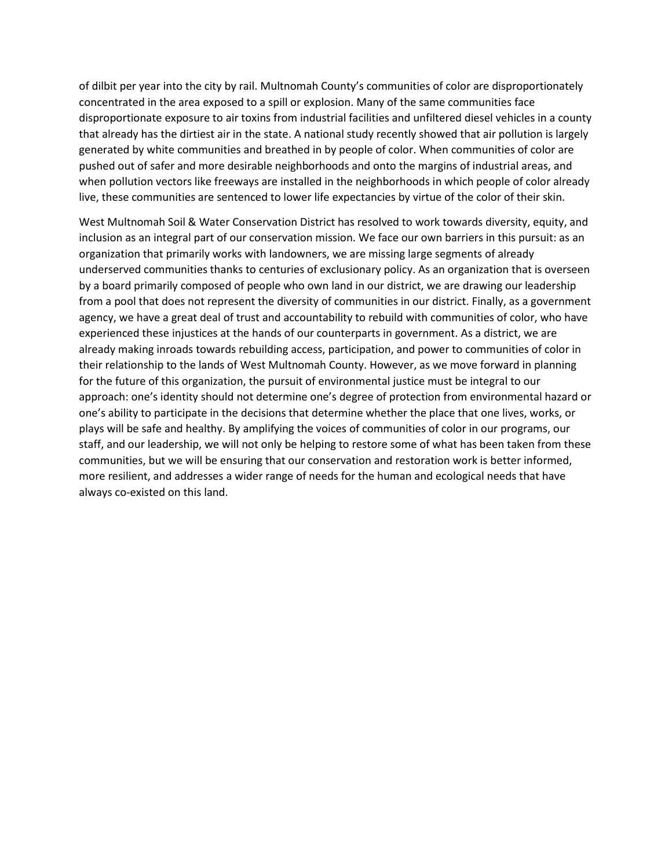of dilbit per year into the city by rail. Multnomah County's communities of color are disproportionately concentrated in the area exposed to a spill or explosion. Many of the same communities face disproportionate exposure to air toxins from industrial facilities and unfiltered diesel vehicles in a county that already has the dirtiest air in the state. A national study recently showed that air pollution is largely generated by white communities and breathed in by people of color. When communities of color are pushed out of safer and more desirable neighborhoods and onto the margins of industrial areas, and when pollution vectors like freeways are installed in the neighborhoods in which people of color already live, these communities are sentenced to lower life expectancies by virtue of the color of their skin.

West Multnomah Soil & Water Conservation District has resolved to work towards diversity, equity, and inclusion as an integral part of our conservation mission. We face our own barriers in this pursuit: as an organization that primarily works with landowners, we are missing large segments of already underserved communities thanks to centuries of exclusionary policy. As an organization that is overseen by a board primarily composed of people who own land in our district, we are drawing our leadership from a pool that does not represent the diversity of communities in our district. Finally, as a government agency, we have a great deal of trust and accountability to rebuild with communities of color, who have experienced these injustices at the hands of our counterparts in government. As a district, we are already making inroads towards rebuilding access, participation, and power to communities of color in their relationship to the lands of West Multnomah County. However, as we move forward in planning for the future of this organization, the pursuit of environmental justice must be integral to our approach: one's identity should not determine one's degree of protection from environmental hazard or one's ability to participate in the decisions that determine whether the place that one lives, works, or plays will be safe and healthy. By amplifying the voices of communities of color in our programs, our staff, and our leadership, we will not only be helping to restore some of what has been taken from these communities, but we will be ensuring that our conservation and restoration work is better informed, more resilient, and addresses a wider range of needs for the human and ecological needs that have always co-existed on this land.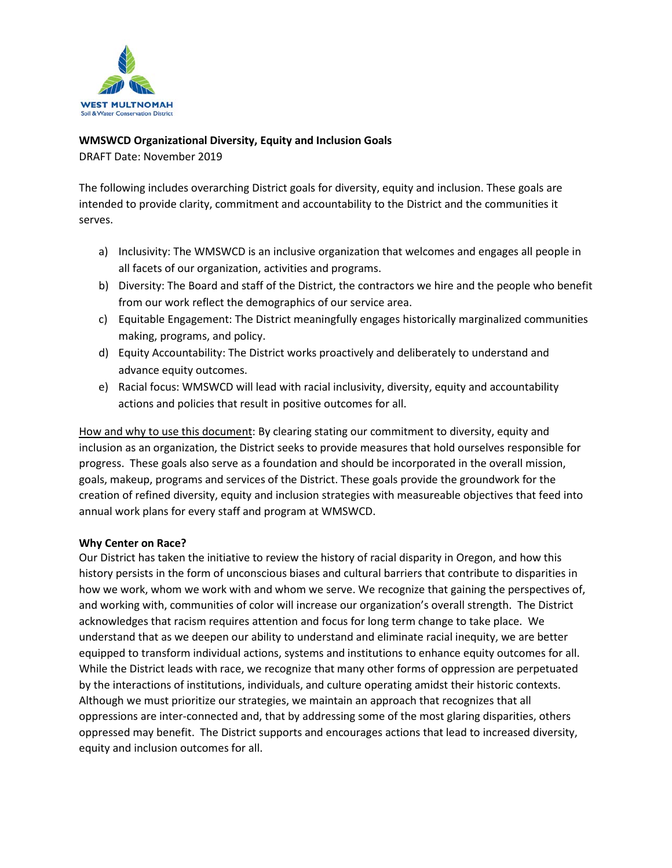

## **WMSWCD Organizational Diversity, Equity and Inclusion Goals**

DRAFT Date: November 2019

The following includes overarching District goals for diversity, equity and inclusion. These goals are intended to provide clarity, commitment and accountability to the District and the communities it serves.

- a) Inclusivity: The WMSWCD is an inclusive organization that welcomes and engages all people in all facets of our organization, activities and programs.
- b) Diversity: The Board and staff of the District, the contractors we hire and the people who benefit from our work reflect the demographics of our service area.
- c) Equitable Engagement: The District meaningfully engages historically marginalized communities making, programs, and policy.
- d) Equity Accountability: The District works proactively and deliberately to understand and advance equity outcomes.
- e) Racial focus: WMSWCD will lead with racial inclusivity, diversity, equity and accountability actions and policies that result in positive outcomes for all.

How and why to use this document: By clearing stating our commitment to diversity, equity and inclusion as an organization, the District seeks to provide measures that hold ourselves responsible for progress. These goals also serve as a foundation and should be incorporated in the overall mission, goals, makeup, programs and services of the District. These goals provide the groundwork for the creation of refined diversity, equity and inclusion strategies with measureable objectives that feed into annual work plans for every staff and program at WMSWCD.

## **Why Center on Race?**

Our District has taken the initiative to review the history of racial disparity in Oregon, and how this history persists in the form of unconscious biases and cultural barriers that contribute to disparities in how we work, whom we work with and whom we serve. We recognize that gaining the perspectives of, and working with, communities of color will increase our organization's overall strength. The District acknowledges that racism requires attention and focus for long term change to take place. We understand that as we deepen our ability to understand and eliminate racial inequity, we are better equipped to transform individual actions, systems and institutions to enhance equity outcomes for all. While the District leads with race, we recognize that many other forms of oppression are perpetuated by the interactions of institutions, individuals, and culture operating amidst their historic contexts. Although we must prioritize our strategies, we maintain an approach that recognizes that all oppressions are inter-connected and, that by addressing some of the most glaring disparities, others oppressed may benefit. The District supports and encourages actions that lead to increased diversity, equity and inclusion outcomes for all.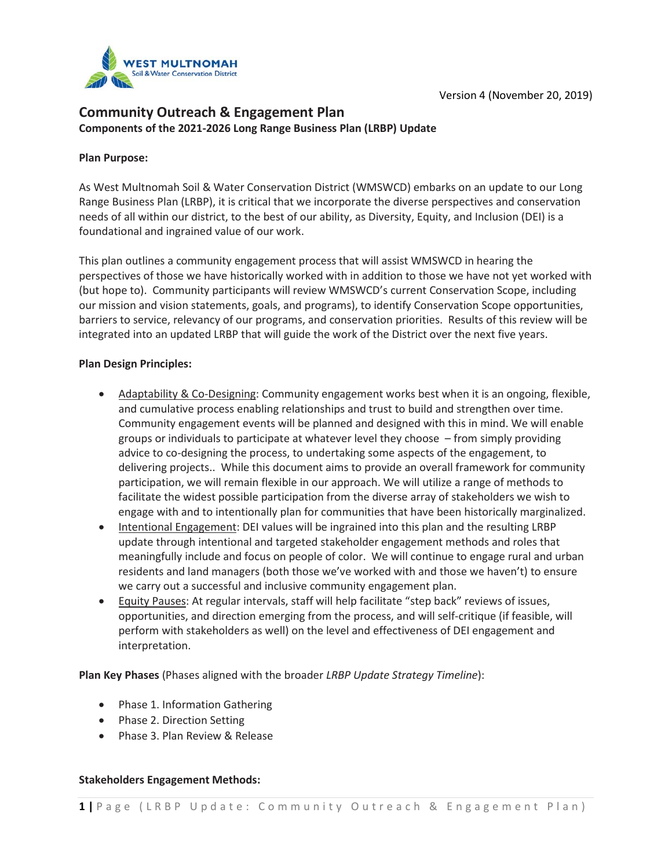

# **Community Outreach & Engagement Plan Components of the 2021-2026 Long Range Business Plan (LRBP) Update**

#### **Plan Purpose:**

As West Multnomah Soil & Water Conservation District (WMSWCD) embarks on an update to our Long Range Business Plan (LRBP), it is critical that we incorporate the diverse perspectives and conservation needs of all within our district, to the best of our ability, as Diversity, Equity, and Inclusion (DEI) is a foundational and ingrained value of our work.

This plan outlines a community engagement process that will assist WMSWCD in hearing the perspectives of those we have historically worked with in addition to those we have not yet worked with (but hope to). Community participants will review WMSWCD's current Conservation Scope, including our mission and vision statements, goals, and programs), to identify Conservation Scope opportunities, barriers to service, relevancy of our programs, and conservation priorities. Results of this review will be integrated into an updated LRBP that will guide the work of the District over the next five years.

#### **Plan Design Principles:**

- Adaptability & Co-Designing: Community engagement works best when it is an ongoing, flexible, and cumulative process enabling relationships and trust to build and strengthen over time. Community engagement events will be planned and designed with this in mind. We will enable groups or individuals to participate at whatever level they choose – from simply providing advice to co-designing the process, to undertaking some aspects of the engagement, to delivering projects.. While this document aims to provide an overall framework for community participation, we will remain flexible in our approach. We will utilize a range of methods to facilitate the widest possible participation from the diverse array of stakeholders we wish to engage with and to intentionally plan for communities that have been historically marginalized.
- Intentional Engagement: DEI values will be ingrained into this plan and the resulting LRBP update through intentional and targeted stakeholder engagement methods and roles that meaningfully include and focus on people of color. We will continue to engage rural and urban residents and land managers (both those we've worked with and those we haven't) to ensure we carry out a successful and inclusive community engagement plan.
- Equity Pauses: At regular intervals, staff will help facilitate "step back" reviews of issues, opportunities, and direction emerging from the process, and will self-critique (if feasible, will perform with stakeholders as well) on the level and effectiveness of DEI engagement and interpretation.

**Plan Key Phases** (Phases aligned with the broader *LRBP Update Strategy Timeline*):

- Phase 1. Information Gathering
- Phase 2. Direction Setting
- Phase 3. Plan Review & Release

#### **Stakeholders Engagement Methods:**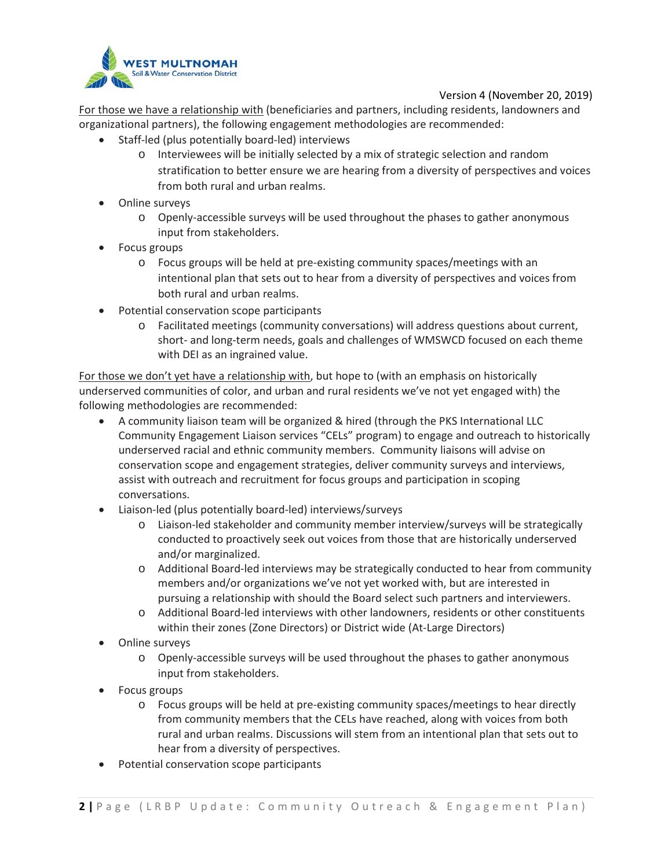

For those we have a relationship with (beneficiaries and partners, including residents, landowners and organizational partners), the following engagement methodologies are recommended:

- Staff-led (plus potentially board-led) interviews
	- o Interviewees will be initially selected by a mix of strategic selection and random stratification to better ensure we are hearing from a diversity of perspectives and voices from both rural and urban realms.
- Online surveys
	- o Openly-accessible surveys will be used throughout the phases to gather anonymous input from stakeholders.
- Focus groups
	- o Focus groups will be held at pre-existing community spaces/meetings with an intentional plan that sets out to hear from a diversity of perspectives and voices from both rural and urban realms.
- Potential conservation scope participants
	- o Facilitated meetings (community conversations) will address questions about current, short- and long-term needs, goals and challenges of WMSWCD focused on each theme with DEI as an ingrained value.

For those we don't yet have a relationship with, but hope to (with an emphasis on historically underserved communities of color, and urban and rural residents we've not yet engaged with) the following methodologies are recommended:

- A community liaison team will be organized & hired (through the PKS International LLC Community Engagement Liaison services "CELs" program) to engage and outreach to historically underserved racial and ethnic community members. Community liaisons will advise on conservation scope and engagement strategies, deliver community surveys and interviews, assist with outreach and recruitment for focus groups and participation in scoping conversations.
- Liaison-led (plus potentially board-led) interviews/surveys
	- o Liaison-led stakeholder and community member interview/surveys will be strategically conducted to proactively seek out voices from those that are historically underserved and/or marginalized.
	- o Additional Board-led interviews may be strategically conducted to hear from community members and/or organizations we've not yet worked with, but are interested in pursuing a relationship with should the Board select such partners and interviewers.
	- o Additional Board-led interviews with other landowners, residents or other constituents within their zones (Zone Directors) or District wide (At-Large Directors)
- Online surveys
	- o Openly-accessible surveys will be used throughout the phases to gather anonymous input from stakeholders.
- Focus groups
	- o Focus groups will be held at pre-existing community spaces/meetings to hear directly from community members that the CELs have reached, along with voices from both rural and urban realms. Discussions will stem from an intentional plan that sets out to hear from a diversity of perspectives.
- Potential conservation scope participants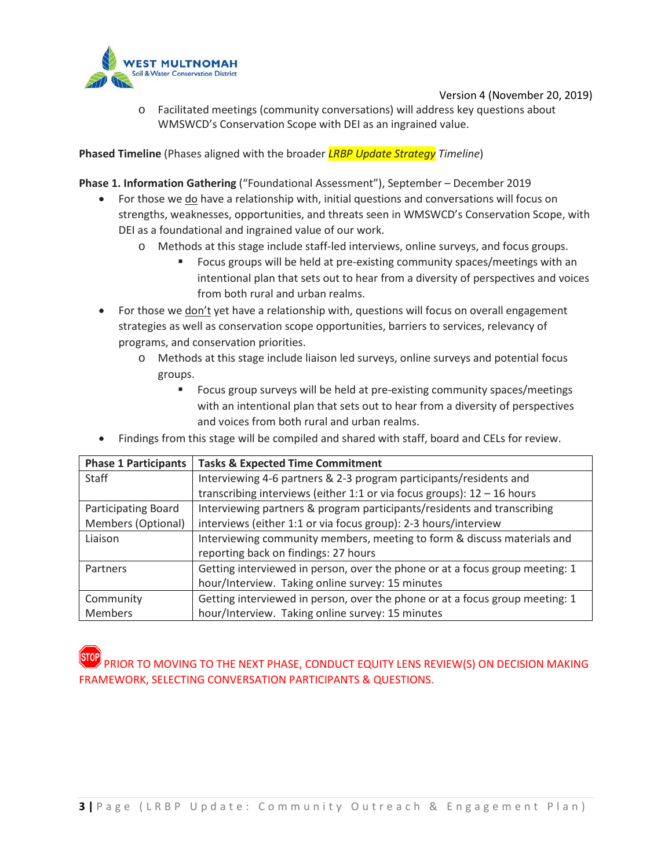

o Facilitated meetings (community conversations) will address key questions about WMSWCD's Conservation Scope with DEI as an ingrained value.

**Phased Timeline** (Phases aligned with the broader *LRBP Update Strategy Timeline*)

**Phase 1. Information Gathering** ("Foundational Assessment"), September – December 2019

- For those we **do** have a relationship with, initial questions and conversations will focus on strengths, weaknesses, opportunities, and threats seen in WMSWCD's Conservation Scope, with DEI as a foundational and ingrained value of our work.
	- o Methods at this stage include staff-led interviews, online surveys, and focus groups.
		- Focus groups will be held at pre-existing community spaces/meetings with an intentional plan that sets out to hear from a diversity of perspectives and voices from both rural and urban realms.
- For those we **don't** yet have a relationship with, questions will focus on overall engagement strategies as well as conservation scope opportunities, barriers to services, relevancy of programs, and conservation priorities.
	- o Methods at this stage include liaison led surveys, online surveys and potential focus groups.
		- Focus group surveys will be held at pre-existing community spaces/meetings with an intentional plan that sets out to hear from a diversity of perspectives and voices from both rural and urban realms.
- Findings from this stage will be compiled and shared with staff, board and CELs for review.

| <b>Phase 1 Participants</b> | <b>Tasks &amp; Expected Time Commitment</b>                                  |
|-----------------------------|------------------------------------------------------------------------------|
| <b>Staff</b>                | Interviewing 4-6 partners & 2-3 program participants/residents and           |
|                             | transcribing interviews (either 1:1 or via focus groups): $12 - 16$ hours    |
| Participating Board         | Interviewing partners & program participants/residents and transcribing      |
| Members (Optional)          | interviews (either 1:1 or via focus group): 2-3 hours/interview              |
| Liaison                     | Interviewing community members, meeting to form & discuss materials and      |
|                             | reporting back on findings: 27 hours                                         |
| Partners                    | Getting interviewed in person, over the phone or at a focus group meeting: 1 |
|                             | hour/Interview. Taking online survey: 15 minutes                             |
| Community                   | Getting interviewed in person, over the phone or at a focus group meeting: 1 |
| Members                     | hour/Interview. Taking online survey: 15 minutes                             |

# PRIOR TO MOVING TO THE NEXT PHASE, CONDUCT EQUITY LENS REVIEW(S) ON DECISION MAKING FRAMEWORK, SELECTING CONVERSATION PARTICIPANTS & QUESTIONS.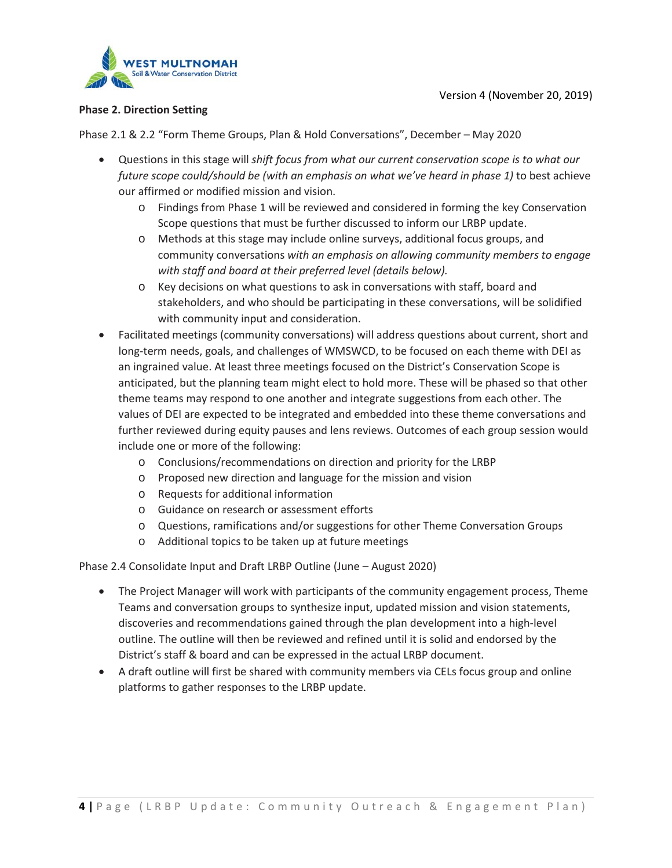

#### **Phase 2. Direction Setting**

Phase 2.1 & 2.2 "Form Theme Groups, Plan & Hold Conversations", December – May 2020

- Questions in this stage will *shift focus from what our current conservation scope is to what our future scope could/should be (with an emphasis on what we've heard in phase 1)* to best achieve our affirmed or modified mission and vision.
	- o Findings from Phase 1 will be reviewed and considered in forming the key Conservation Scope questions that must be further discussed to inform our LRBP update.
	- o Methods at this stage may include online surveys, additional focus groups, and community conversations *with an emphasis on allowing community members to engage with staff and board at their preferred level (details below).*
	- o Key decisions on what questions to ask in conversations with staff, board and stakeholders, and who should be participating in these conversations, will be solidified with community input and consideration.
- Facilitated meetings (community conversations) will address questions about current, short and long-term needs, goals, and challenges of WMSWCD, to be focused on each theme with DEI as an ingrained value. At least three meetings focused on the District's Conservation Scope is anticipated, but the planning team might elect to hold more. These will be phased so that other theme teams may respond to one another and integrate suggestions from each other. The values of DEI are expected to be integrated and embedded into these theme conversations and further reviewed during equity pauses and lens reviews. Outcomes of each group session would include one or more of the following:
	- o Conclusions/recommendations on direction and priority for the LRBP
	- o Proposed new direction and language for the mission and vision
	- o Requests for additional information
	- o Guidance on research or assessment efforts
	- o Questions, ramifications and/or suggestions for other Theme Conversation Groups
	- o Additional topics to be taken up at future meetings

Phase 2.4 Consolidate Input and Draft LRBP Outline (June – August 2020)

- The Project Manager will work with participants of the community engagement process, Theme Teams and conversation groups to synthesize input, updated mission and vision statements, discoveries and recommendations gained through the plan development into a high-level outline. The outline will then be reviewed and refined until it is solid and endorsed by the District's staff & board and can be expressed in the actual LRBP document.
- A draft outline will first be shared with community members via CELs focus group and online platforms to gather responses to the LRBP update.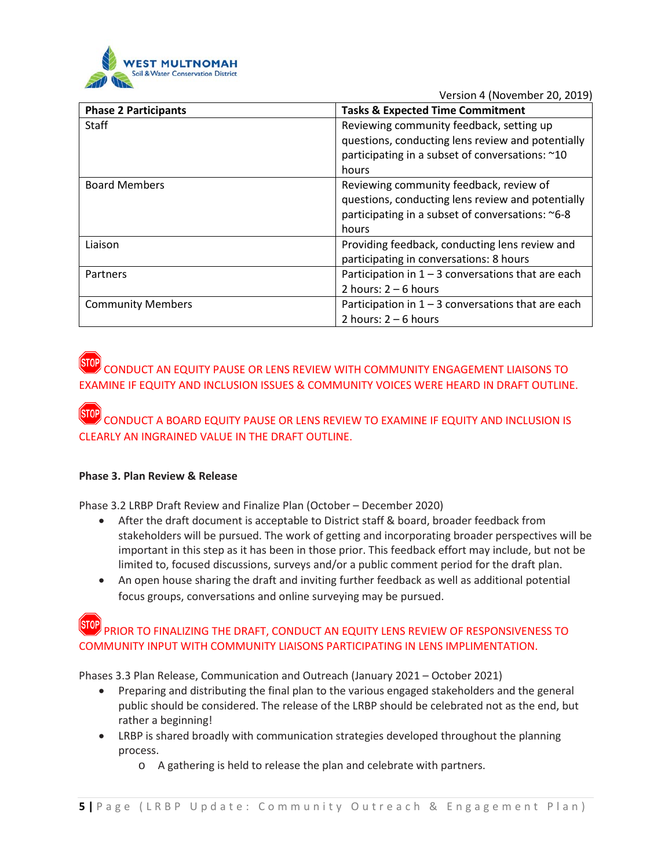

| <b>Phase 2 Participants</b> | <b>Tasks &amp; Expected Time Commitment</b>          |
|-----------------------------|------------------------------------------------------|
| <b>Staff</b>                | Reviewing community feedback, setting up             |
|                             | questions, conducting lens review and potentially    |
|                             | participating in a subset of conversations: ~10      |
|                             | hours                                                |
| <b>Board Members</b>        | Reviewing community feedback, review of              |
|                             | questions, conducting lens review and potentially    |
|                             | participating in a subset of conversations: ~6-8     |
|                             | hours                                                |
| Liaison                     | Providing feedback, conducting lens review and       |
|                             | participating in conversations: 8 hours              |
| Partners                    | Participation in $1 - 3$ conversations that are each |
|                             | 2 hours: $2 - 6$ hours                               |
| <b>Community Members</b>    | Participation in $1 - 3$ conversations that are each |
|                             | 2 hours: $2 - 6$ hours                               |

# CONDUCT AN EQUITY PAUSE OR LENS REVIEW WITH COMMUNITY ENGAGEMENT LIAISONS TO EXAMINE IF EQUITY AND INCLUSION ISSUES & COMMUNITY VOICES WERE HEARD IN DRAFT OUTLINE.

CONDUCT A BOARD EQUITY PAUSE OR LENS REVIEW TO EXAMINE IF EQUITY AND INCLUSION IS CLEARLY AN INGRAINED VALUE IN THE DRAFT OUTLINE.

### **Phase 3. Plan Review & Release**

Phase 3.2 LRBP Draft Review and Finalize Plan (October – December 2020)

- After the draft document is acceptable to District staff & board, broader feedback from stakeholders will be pursued. The work of getting and incorporating broader perspectives will be important in this step as it has been in those prior. This feedback effort may include, but not be limited to, focused discussions, surveys and/or a public comment period for the draft plan.
- An open house sharing the draft and inviting further feedback as well as additional potential focus groups, conversations and online surveying may be pursued.

## PRIOR TO FINALIZING THE DRAFT, CONDUCT AN EQUITY LENS REVIEW OF RESPONSIVENESS TO COMMUNITY INPUT WITH COMMUNITY LIAISONS PARTICIPATING IN LENS IMPLIMENTATION.

Phases 3.3 Plan Release, Communication and Outreach (January 2021 – October 2021)

- Preparing and distributing the final plan to the various engaged stakeholders and the general public should be considered. The release of the LRBP should be celebrated not as the end, but rather a beginning!
- LRBP is shared broadly with communication strategies developed throughout the planning process.
	- o A gathering is held to release the plan and celebrate with partners.